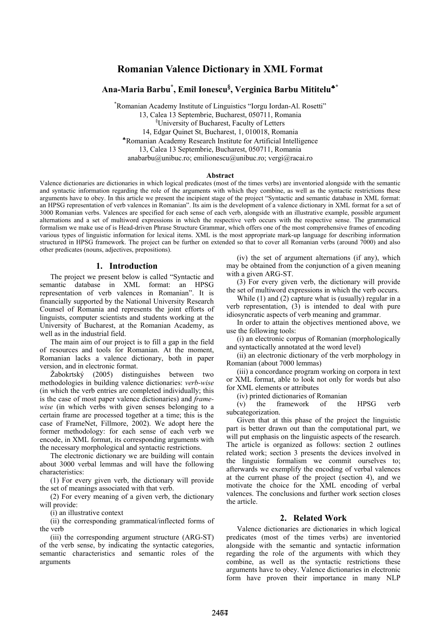## **Romanian Valence Dictionary in XML Format**

# **Ana-Maria Barbu\* , Emil Ionescu§ , Verginica Barbu Mititelu**♣**\***

\* Romanian Academy Institute of Linguistics "Iorgu Iordan-Al. Rosetti" 13, Calea 13 Septembrie, Bucharest, 050711, Romania § University of Bucharest, Faculty of Letters 14, Edgar Quinet St, Bucharest, 1, 010018, Romania ♣Romanian Academy Research Institute for Artificial Intelligence 13, Calea 13 Septembrie, Bucharest, 050711, Romania anabarbu@unibuc.ro; emilionescu@unibuc.ro; vergi@racai.ro

#### **Abstract**

Valence dictionaries are dictionaries in which logical predicates (most of the times verbs) are inventoried alongside with the semantic and syntactic information regarding the role of the arguments with which they combine, as well as the syntactic restrictions these arguments have to obey. In this article we present the incipient stage of the project "Syntactic and semantic database in XML format: an HPSG representation of verb valences in Romanian". Its aim is the development of a valence dictionary in XML format for a set of 3000 Romanian verbs. Valences are specified for each sense of each verb, alongside with an illustrative example, possible argument alternations and a set of multiword expressions in which the respective verb occurs with the respective sense. The grammatical formalism we make use of is Head-driven Phrase Structure Grammar, which offers one of the most comprehensive frames of encoding various types of linguistic information for lexical items. XML is the most appropriate mark-up language for describing information structured in HPSG framework. The project can be further on extended so that to cover all Romanian verbs (around 7000) and also other predicates (nouns, adjectives, prepositions).

#### **1. Introduction**

The project we present below is called "Syntactic and semantic database in XML format: an HPSG representation of verb valences in Romanian". It is financially supported by the National University Research Counsel of Romania and represents the joint efforts of linguists, computer scientists and students working at the University of Bucharest, at the Romanian Academy, as well as in the industrial field.

The main aim of our project is to fill a gap in the field of resources and tools for Romanian. At the moment, Romanian lacks a valence dictionary, both in paper version, and in electronic format.

Žabokrtský (2005) distinguishes between two methodologies in building valence dictionaries: *verb-wise* (in which the verb entries are completed individually; this is the case of most paper valence dictionaries) and *framewise* (in which verbs with given senses belonging to a certain frame are processed together at a time; this is the case of FrameNet, Fillmore, 2002). We adopt here the former methodology: for each sense of each verb we encode, in XML format, its corresponding arguments with the necessary morphological and syntactic restrictions.

The electronic dictionary we are building will contain about 3000 verbal lemmas and will have the following characteristics:

(1) For every given verb, the dictionary will provide the set of meanings associated with that verb.

(2) For every meaning of a given verb, the dictionary will provide:

(i) an illustrative context

(ii) the corresponding grammatical/inflected forms of the verb

(iii) the corresponding argument structure (ARG-ST) of the verb sense, by indicating the syntactic categories, semantic characteristics and semantic roles of the arguments

(iv) the set of argument alternations (if any), which may be obtained from the conjunction of a given meaning with a given ARG-ST.

(3) For every given verb, the dictionary will provide the set of multiword expressions in which the verb occurs.

While (1) and (2) capture what is (usually) regular in a verb representation, (3) is intended to deal with pure idiosyncratic aspects of verb meaning and grammar.

In order to attain the objectives mentioned above, we use the following tools:

(i) an electronic corpus of Romanian (morphologically and syntactically annotated at the word level)

(ii) an electronic dictionary of the verb morphology in Romanian (about 7000 lemmas)

(iii) a concordance program working on corpora in text or XML format, able to look not only for words but also for XML elements or attributes

(iv) printed dictionaries of Romanian

(v) the framework of the HPSG verb subcategorization.

Given that at this phase of the project the linguistic part is better drawn out than the computational part, we will put emphasis on the linguistic aspects of the research. The article is organized as follows: section 2 outlines related work; section 3 presents the devices involved in the linguistic formalism we commit ourselves to; afterwards we exemplify the encoding of verbal valences at the current phase of the project (section 4), and we motivate the choice for the XML encoding of verbal valences. The conclusions and further work section closes the article.

#### **2. Related Work**

Valence dictionaries are dictionaries in which logical predicates (most of the times verbs) are inventoried alongside with the semantic and syntactic information regarding the role of the arguments with which they combine, as well as the syntactic restrictions these arguments have to obey. Valence dictionaries in electronic form have proven their importance in many NLP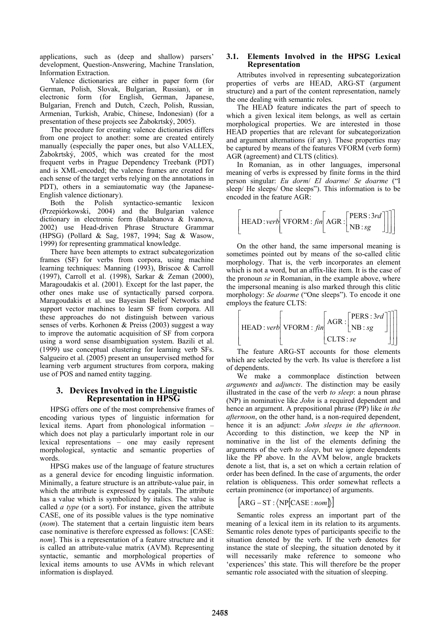applications, such as (deep and shallow) parsers' development, Question-Answering, Machine Translation, Information Extraction.

Valence dictionaries are either in paper form (for German, Polish, Slovak, Bulgarian, Russian), or in electronic form (for English, German, Japanese, Bulgarian, French and Dutch, Czech, Polish, Russian, Armenian, Turkish, Arabic, Chinese, Indonesian) (for a presentation of these projects see Žabokrtský, 2005).

The procedure for creating valence dictionaries differs from one project to another: some are created entirely manually (especially the paper ones, but also VALLEX, Žabokrtský, 2005, which was created for the most frequent verbs in Prague Dependency Treebank (PDT) and is XML-encoded; the valence frames are created for each sense of the target verbs relying on the annotations in PDT), others in a semiautomatic way (the Japanese-English valence dictionary).

Both the Polish syntactico-semantic lexicon (Przepiórkowski, 2004) and the Bulgarian valence dictionary in electronic form (Balabanova & Ivanova, 2002) use Head-driven Phrase Structure Grammar (HPSG) (Pollard & Sag, 1987, 1994; Sag & Wasow, 1999) for representing grammatical knowledge.

There have been attempts to extract subcategorization frames (SF) for verbs from corpora, using machine learning techniques: Manning (1993), Briscoe & Carroll (1997), Carroll et al. (1998), Sarkar & Zeman (2000), Maragoudakis et al. (2001). Except for the last paper, the other ones make use of syntactically parsed corpora. Maragoudakis et al. use Bayesian Belief Networks and support vector machines to learn SF from corpora. All these approaches do not distinguish between various senses of verbs. Korhonen & Preiss (2003) suggest a way to improve the automatic acquisition of SF from corpora using a word sense disambiguation system. Bazili et al. (1999) use conceptual clustering for learning verb SFs. Salgueiro et al. (2005) present an unsupervised method for learning verb argument structures from corpora, making use of POS and named entity tagging.

### **3. Devices Involved in the Linguistic Representation in HPSG**

HPSG offers one of the most comprehensive frames of encoding various types of linguistic information for lexical items. Apart from phonological information – which does not play a particularly important role in our lexical representations – one may easily represent morphological, syntactic and semantic properties of words

HPSG makes use of the language of feature structures as a general device for encoding linguistic information. Minimally, a feature structure is an attribute-value pair, in which the attribute is expressed by capitals. The attribute has a value which is symbolized by italics. The value is called *a type* (or a sort). For instance, given the attribute CASE, one of its possible values is the type nominative (*nom*). The statement that a certain linguistic item bears case nominative is therefore expressed as follows: [CASE: *nom*]. This is a representation of a feature structure and it is called an attribute-value matrix (AVM). Representing syntactic, semantic and morphological properties of lexical items amounts to use AVMs in which relevant information is displayed.

## **3.1. Elements Involved in the HPSG Lexical Representation**

Attributes involved in representing subcategorization properties of verbs are HEAD, ARG-ST (argument structure) and a part of the content representation, namely the one dealing with semantic roles.

The HEAD feature indicates the part of speech to which a given lexical item belongs, as well as certain morphological properties. We are interested in those HEAD properties that are relevant for subcategorization and argument alternations (if any). These properties may be captured by means of the features VFORM (verb form) AGR (agreement) and CLTS (clitics).

In Romanian, as in other languages, impersonal meaning of verbs is expressed by finite forms in the third person singular: *Eu dorm*/ *El doarme*/ *Se doarme* ("I sleep/ He sleeps/ One sleeps"). This information is to be encoded in the feature AGR:

$$
\left[\text{HEAD:} verb\bigg[\text{VFORM}: \text{fin}\bigg[\text{AGR}: \begin{bmatrix} \text{PERS}:3rd \\ \text{NB}:sg \end{bmatrix}\bigg]\right]
$$

On the other hand, the same impersonal meaning is sometimes pointed out by means of the so-called clitic morphology. That is, the verb incorporates an element which is not a word, but an affix-like item. It is the case of the pronoun *se* in Romanian, in the example above, where the impersonal meaning is also marked through this clitic morphology: *Se doarme* ("One sleeps"). To encode it one employs the feature CLTS:

$$
\left[\text{HEAD}: verb \middle[\text{VFORM}: \text{fin}\left[\text{AGR}: \begin{bmatrix} \text{PERS}: 3rd \\ \text{NB}: sg \end{bmatrix}\right]\right]\right]
$$

The feature ARG-ST accounts for those elements which are selected by the verb. Its value is therefore a list of dependents.

We make a commonplace distinction between *arguments* and *adjuncts*. The distinction may be easily illustrated in the case of the verb *to sleep*: a noun phrase (NP) in nominative like *John* is a required dependent and hence an argument. A prepositional phrase (PP) like *in the afternoon*, on the other hand, is a non-required dependent, hence it is an adjunct: *John sleeps in the afternoon*. According to this distinction, we keep the NP in nominative in the list of the elements defining the arguments of the verb *to sleep*, but we ignore dependents like the PP above. In the AVM below, angle brackets denote a list, that is, a set on which a certain relation of order has been defined. In the case of arguments, the order relation is obliqueness. This order somewhat reflects a certain prominence (or importance) of arguments.

 $|ARG - ST : \langle NP[CASE : nom] \rangle |$ 

Semantic roles express an important part of the meaning of a lexical item in its relation to its arguments. Semantic roles denote types of participants specific to the situation denoted by the verb. If the verb denotes for instance the state of sleeping, the situation denoted by it will necessarily make reference to someone who 'experiences' this state. This will therefore be the proper semantic role associated with the situation of sleeping.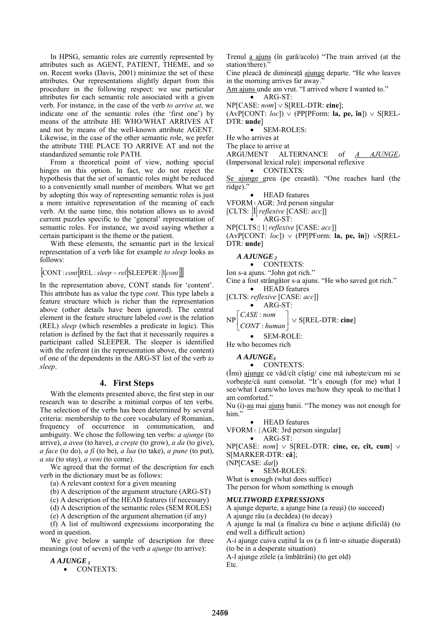In HPSG, semantic roles are currently represented by attributes such as AGENT, PATIENT, THEME, and so on. Recent works (Davis, 2001) minimize the set of these attributes. Our representations slightly depart from this procedure in the following respect: we use particular attributes for each semantic role associated with a given verb. For instance, in the case of the verb *to arrive at*, we indicate one of the semantic roles (the 'first one') by means of the attribute HE WHO/WHAT ARRIVES AT and not by means of the well-known attribute AGENT. Likewise, in the case of the other semantic role, we prefer the attribute THE PLACE TO ARRIVE AT and not the standardized semantic role PATH.

From a theoretical point of view, nothing special hinges on this option. In fact, we do not reject the hypothesis that the set of semantic roles might be reduced to a conveniently small number of members. What we get by adopting this way of representing semantic roles is just a more intuitive representation of the meaning of each verb. At the same time, this notation allows us to avoid current puzzles specific to the 'general' representation of semantic roles. For instance, we avoid saying whether a certain participant is the theme or the patient.

With these elements, the semantic part in the lexical representation of a verb like for example *to sleep* looks as follows:

## [CONT : *cont*[REL:*sleep* − *rel*[SLEEPER : 1*cont*]]]

In the representation above, CONT stands for 'content'. This attribute has as value the type *cont*. This type labels a feature structure which is richer than the representation above (other details have been ignored). The central element in the feature structure labeled *cont* is the relation (REL) *sleep* (which resembles a predicate in logic). This relation is defined by the fact that it necessarily requires a participant called SLEEPER. The sleeper is identified with the referent (in the representation above, the content) of one of the dependents in the ARG-ST list of the verb *to sleep*.

### **4. First Steps**

With the elements presented above, the first step in our research was to describe a minimal corpus of ten verbs. The selection of the verbs has been determined by several criteria: membership to the core vocabulary of Romanian, frequency of occurrence in communication, and ambiguity. We chose the following ten verbs: *a ajunge* (to arrive), *a avea* (to have), *a creşte* (to grow), *a da* (to give), *a face* (to do), *a fi* (to be), *a lua* (to take), *a pune* (to put), *a sta* (to stay), *a veni* (to come).

We agreed that the format of the description for each verb in the dictionary must be as follows:

(a) A relevant context for a given meaning

(b) A description of the argument structure (ARG-ST)

(c) A description of the HEAD features (if necessary)

(d) A description of the semantic roles (SEM ROLES)

(e) A description of the argument alternation (if any)

(f) A list of multiword expressions incorporating the word in question.

We give below a sample of description for three meanings (out of seven) of the verb *a ajunge* (to arrive):

#### *A AJUNGE 1*

• CONTEXTS:

Trenul a ajuns (în gară/acolo) "The train arrived (at the station/there)."

Cine pleacă de dimineaţă ajunge departe. "He who leaves in the morning arrives far away."

Am ajuns unde am vrut. "I arrived where I wanted to." • ARG-ST:

NP[CASE: *nom*] ∨ S[REL-DTR: **cine**];

 $(AvP[CONT: loc]) \vee (PP[PForm: la, pe, în]) \vee S[REL-$ DTR: **unde**]

• SEM-ROLES<sup>-</sup>

He who arrives at

The place to arrive at

ARGUMENT ALTERNANCE of *A AJUNGE1* (Impersonal lexical rule): impersonal reflexive

• CONTEXTS:

Se ajunge greu (pe creastă). "One reaches hard (the ridge).'

• HEAD features

VFORM׀AGR: 3rd person singular

[CLTS: 1 *reflexive* [CASE: *acc*]]

• ARG-ST:

NP[CLTS:| 1| *reflexive* [CASE: *acc*]]

(AvP[CONT: *loc*]) ∨ (PP[PForm: **la, pe, în**]) ∨S[REL-DTR: **unde**]

#### *A AJUNGE 2*

• CONTEXTS:

Ion s-a ajuns. "John got rich."

Cine a fost strângător s-a ajuns. "He who saved got rich."

• HEAD features [CLTS: *reflexive* [CASE: *acc*]]

$$
\bullet \quad \text{ARG-ST:}
$$

 $NP\begin{bmatrix} CASE : nom \\ CONT : human \end{bmatrix} \vee$  S[REL-DTR: **cine**]  $\mathsf{L}$ *CONT human CASE nom* : :

• SEM-ROLE:

He who becomes rich

#### *A AJUNGE3*

• CONTEXTS:

(Îmi) ajunge ce văd/cît cîştig/ cine mă iubeşte/cum mi se vorbeşte/că sunt consolat. "It's enough (for me) what I see/what I earn/who loves me/how they speak to me/that I am comforted."

Nu (i)-au mai ajuns banii. "The money was not enough for him.'

• HEAD features

VFORM | [AGR: 3rd person singular] • ARG-ST:

NP[CASE: *nom*] ∨ S[REL-DTR: **cine, ce, cît, cum**] ∨ S[MARKER-DTR: **că**];

(NP[CASE: *dat*])

• SEM-ROLES:

What is enough (what does suffice)

The person for whom something is enough

#### *MULTIWORD EXPRESSIONS*

A ajunge departe, a ajunge bine (a reuşi) (to succeed)

A ajunge rău (a decădea) (to decay)

A ajunge la mal (a finaliza cu bine o acţiune dificilă) (to end well a difficult action)

A-i ajunge cuiva cuţitul la os (a fi într-o situaţie disperată) (to be in a desperate situation)

A-l ajunge zilele (a îmbătrâni) (to get old)

Etc.